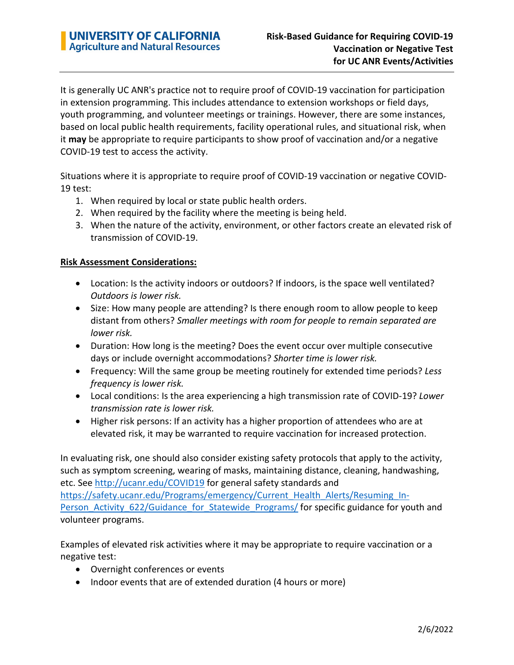It is generally UC ANR's practice not to require proof of COVID-19 vaccination for participation in extension programming. This includes attendance to extension workshops or field days, youth programming, and volunteer meetings or trainings. However, there are some instances, based on local public health requirements, facility operational rules, and situational risk, when it **may** be appropriate to require participants to show proof of vaccination and/or a negative COVID-19 test to access the activity.

Situations where it is appropriate to require proof of COVID-19 vaccination or negative COVID-19 test:

- 1. When required by local or state public health orders.
- 2. When required by the facility where the meeting is being held.
- 3. When the nature of the activity, environment, or other factors create an elevated risk of transmission of COVID-19.

## **Risk Assessment Considerations:**

- Location: Is the activity indoors or outdoors? If indoors, is the space well ventilated? *Outdoors is lower risk.*
- Size: How many people are attending? Is there enough room to allow people to keep distant from others? *Smaller meetings with room for people to remain separated are lower risk.*
- Duration: How long is the meeting? Does the event occur over multiple consecutive days or include overnight accommodations? *Shorter time is lower risk.*
- Frequency: Will the same group be meeting routinely for extended time periods? *Less frequency is lower risk.*
- Local conditions: Is the area experiencing a high transmission rate of COVID-19? *Lower transmission rate is lower risk.*
- Higher risk persons: If an activity has a higher proportion of attendees who are at elevated risk, it may be warranted to require vaccination for increased protection.

In evaluating risk, one should also consider existing safety protocols that apply to the activity, such as symptom screening, wearing of masks, maintaining distance, cleaning, handwashing, etc. See<http://ucanr.edu/COVID19> for general safety standards and [https://safety.ucanr.edu/Programs/emergency/Current\\_Health\\_Alerts/Resuming\\_In-](https://safety.ucanr.edu/Programs/emergency/Current_Health_Alerts/Resuming_In-Person_Activity_622/Guidance_for_Statewide_Programs/)[Person\\_Activity\\_622/Guidance\\_for\\_Statewide\\_Programs/](https://safety.ucanr.edu/Programs/emergency/Current_Health_Alerts/Resuming_In-Person_Activity_622/Guidance_for_Statewide_Programs/) for specific guidance for youth and volunteer programs.

Examples of elevated risk activities where it may be appropriate to require vaccination or a negative test:

- Overnight conferences or events
- Indoor events that are of extended duration (4 hours or more)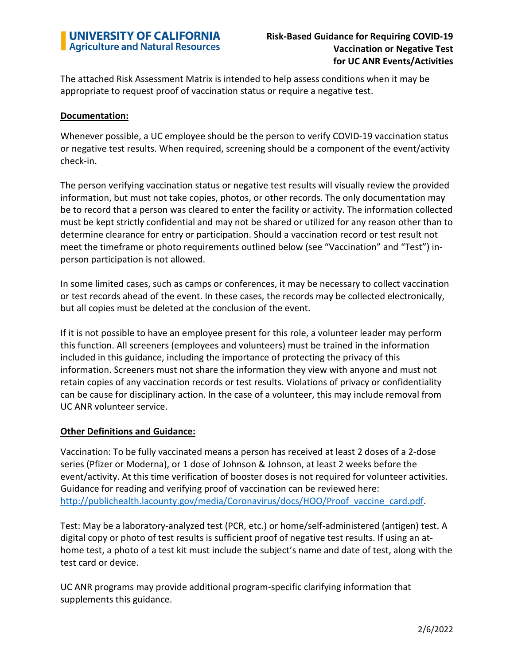The attached Risk Assessment Matrix is intended to help assess conditions when it may be appropriate to request proof of vaccination status or require a negative test.

## **Documentation:**

Whenever possible, a UC employee should be the person to verify COVID-19 vaccination status or negative test results. When required, screening should be a component of the event/activity check-in.

The person verifying vaccination status or negative test results will visually review the provided information, but must not take copies, photos, or other records. The only documentation may be to record that a person was cleared to enter the facility or activity. The information collected must be kept strictly confidential and may not be shared or utilized for any reason other than to determine clearance for entry or participation. Should a vaccination record or test result not meet the timeframe or photo requirements outlined below (see "Vaccination" and "Test") inperson participation is not allowed.

In some limited cases, such as camps or conferences, it may be necessary to collect vaccination or test records ahead of the event. In these cases, the records may be collected electronically, but all copies must be deleted at the conclusion of the event.

If it is not possible to have an employee present for this role, a volunteer leader may perform this function. All screeners (employees and volunteers) must be trained in the information included in this guidance, including the importance of protecting the privacy of this information. Screeners must not share the information they view with anyone and must not retain copies of any vaccination records or test results. Violations of privacy or confidentiality can be cause for disciplinary action. In the case of a volunteer, this may include removal from UC ANR volunteer service.

## **Other Definitions and Guidance:**

Vaccination: To be fully vaccinated means a person has received at least 2 doses of a 2-dose series (Pfizer or Moderna), or 1 dose of Johnson & Johnson, at least 2 weeks before the event/activity. At this time verification of booster doses is not required for volunteer activities. Guidance for reading and verifying proof of vaccination can be reviewed here: http://publichealth.lacounty.gov/media/Coronavirus/docs/HOO/Proof vaccine card.pdf.

Test: May be a laboratory-analyzed test (PCR, etc.) or home/self-administered (antigen) test. A digital copy or photo of test results is sufficient proof of negative test results. If using an athome test, a photo of a test kit must include the subject's name and date of test, along with the test card or device.

UC ANR programs may provide additional program-specific clarifying information that supplements this guidance.